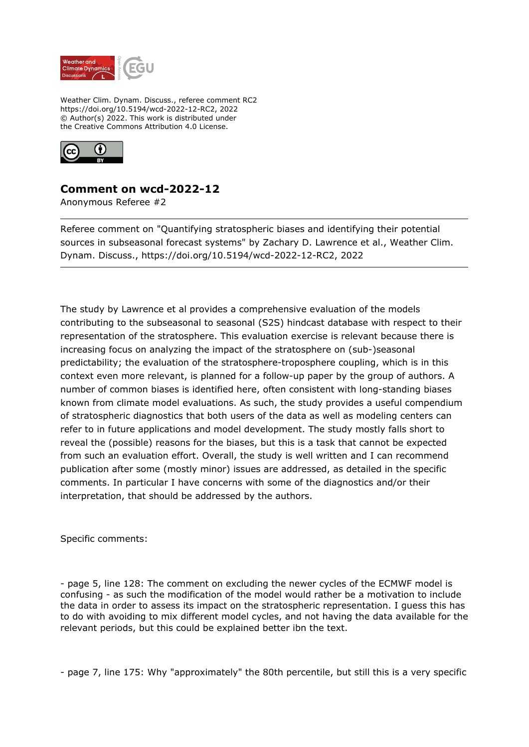

Weather Clim. Dynam. Discuss., referee comment RC2 https://doi.org/10.5194/wcd-2022-12-RC2, 2022 © Author(s) 2022. This work is distributed under the Creative Commons Attribution 4.0 License.



## **Comment on wcd-2022-12**

Anonymous Referee #2

Referee comment on "Quantifying stratospheric biases and identifying their potential sources in subseasonal forecast systems" by Zachary D. Lawrence et al., Weather Clim. Dynam. Discuss., https://doi.org/10.5194/wcd-2022-12-RC2, 2022

The study by Lawrence et al provides a comprehensive evaluation of the models contributing to the subseasonal to seasonal (S2S) hindcast database with respect to their representation of the stratosphere. This evaluation exercise is relevant because there is increasing focus on analyzing the impact of the stratosphere on (sub-)seasonal predictability; the evaluation of the stratosphere-troposphere coupling, which is in this context even more relevant, is planned for a follow-up paper by the group of authors. A number of common biases is identified here, often consistent with long-standing biases known from climate model evaluations. As such, the study provides a useful compendium of stratospheric diagnostics that both users of the data as well as modeling centers can refer to in future applications and model development. The study mostly falls short to reveal the (possible) reasons for the biases, but this is a task that cannot be expected from such an evaluation effort. Overall, the study is well written and I can recommend publication after some (mostly minor) issues are addressed, as detailed in the specific comments. In particular I have concerns with some of the diagnostics and/or their interpretation, that should be addressed by the authors.

Specific comments:

- page 5, line 128: The comment on excluding the newer cycles of the ECMWF model is confusing - as such the modification of the model would rather be a motivation to include the data in order to assess its impact on the stratospheric representation. I guess this has to do with avoiding to mix different model cycles, and not having the data available for the relevant periods, but this could be explained better ibn the text.

- page 7, line 175: Why "approximately" the 80th percentile, but still this is a very specific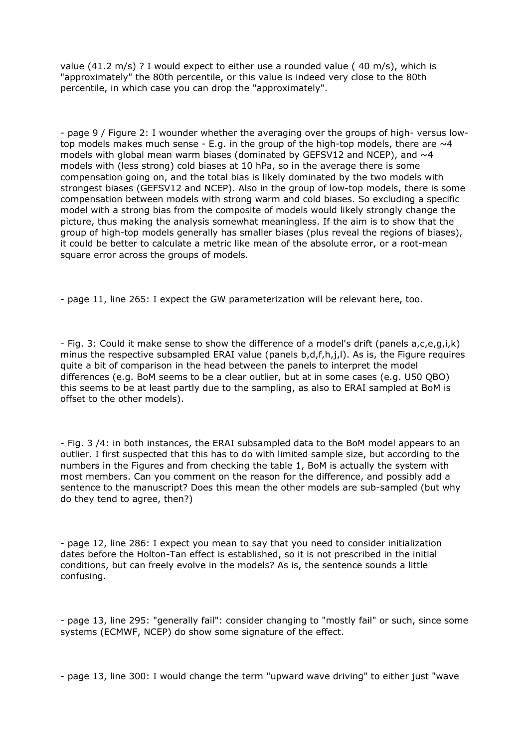value (41.2 m/s) ? I would expect to either use a rounded value ( 40 m/s), which is "approximately" the 80th percentile, or this value is indeed very close to the 80th percentile, in which case you can drop the "approximately".

- page 9 / Figure 2: I wounder whether the averaging over the groups of high- versus lowtop models makes much sense - E.g. in the group of the high-top models, there are  $\sim$ 4 models with global mean warm biases (dominated by GEFSV12 and NCEP), and  $\sim$ 4 models with (less strong) cold biases at 10 hPa, so in the average there is some compensation going on, and the total bias is likely dominated by the two models with strongest biases (GEFSV12 and NCEP). Also in the group of low-top models, there is some compensation between models with strong warm and cold biases. So excluding a specific model with a strong bias from the composite of models would likely strongly change the picture, thus making the analysis somewhat meaningless. If the aim is to show that the group of high-top models generally has smaller biases (plus reveal the regions of biases), it could be better to calculate a metric like mean of the absolute error, or a root-mean square error across the groups of models.

- page 11, line 265: I expect the GW parameterization will be relevant here, too.

- Fig. 3: Could it make sense to show the difference of a model's drift (panels a,c,e,g,i,k) minus the respective subsampled ERAI value (panels b,d,f,h,j,l). As is, the Figure requires quite a bit of comparison in the head between the panels to interpret the model differences (e.g. BoM seems to be a clear outlier, but at in some cases (e.g. U50 QBO) this seems to be at least partly due to the sampling, as also to ERAI sampled at BoM is offset to the other models).

- Fig. 3 /4: in both instances, the ERAI subsampled data to the BoM model appears to an outlier. I first suspected that this has to do with limited sample size, but according to the numbers in the Figures and from checking the table 1, BoM is actually the system with most members. Can you comment on the reason for the difference, and possibly add a sentence to the manuscript? Does this mean the other models are sub-sampled (but why do they tend to agree, then?)

- page 12, line 286: I expect you mean to say that you need to consider initialization dates before the Holton-Tan effect is established, so it is not prescribed in the initial conditions, but can freely evolve in the models? As is, the sentence sounds a little confusing.

- page 13, line 295: "generally fail": consider changing to "mostly fail" or such, since some systems (ECMWF, NCEP) do show some signature of the effect.

- page 13, line 300: I would change the term "upward wave driving" to either just "wave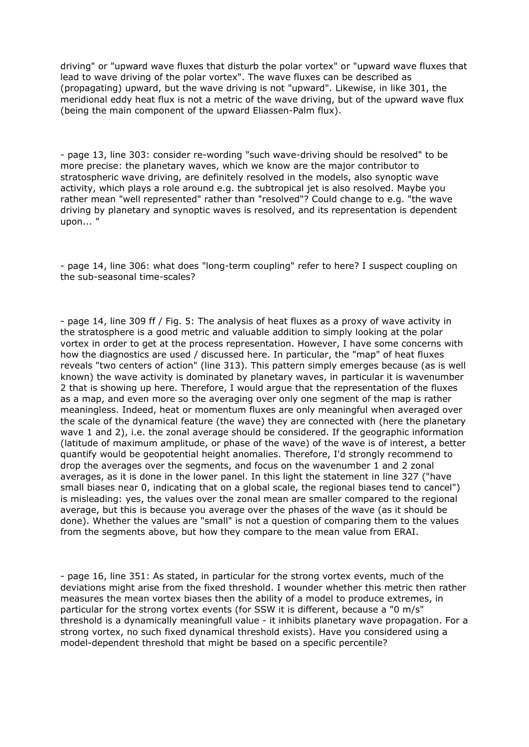driving" or "upward wave fluxes that disturb the polar vortex" or "upward wave fluxes that lead to wave driving of the polar vortex". The wave fluxes can be described as (propagating) upward, but the wave driving is not "upward". Likewise, in like 301, the meridional eddy heat flux is not a metric of the wave driving, but of the upward wave flux (being the main component of the upward Eliassen-Palm flux).

- page 13, line 303: consider re-wording "such wave-driving should be resolved" to be more precise: the planetary waves, which we know are the major contributor to stratospheric wave driving, are definitely resolved in the models, also synoptic wave activity, which plays a role around e.g. the subtropical jet is also resolved. Maybe you rather mean "well represented" rather than "resolved"? Could change to e.g. "the wave driving by planetary and synoptic waves is resolved, and its representation is dependent upon... "

- page 14, line 306: what does "long-term coupling" refer to here? I suspect coupling on the sub-seasonal time-scales?

- page 14, line 309 ff / Fig. 5: The analysis of heat fluxes as a proxy of wave activity in the stratosphere is a good metric and valuable addition to simply looking at the polar vortex in order to get at the process representation. However, I have some concerns with how the diagnostics are used / discussed here. In particular, the "map" of heat fluxes reveals "two centers of action" (line 313). This pattern simply emerges because (as is well known) the wave activity is dominated by planetary waves, in particular it is wavenumber 2 that is showing up here. Therefore, I would argue that the representation of the fluxes as a map, and even more so the averaging over only one segment of the map is rather meaningless. Indeed, heat or momentum fluxes are only meaningful when averaged over the scale of the dynamical feature (the wave) they are connected with (here the planetary wave 1 and 2), i.e. the zonal average should be considered. If the geographic information (latitude of maximum amplitude, or phase of the wave) of the wave is of interest, a better quantify would be geopotential height anomalies. Therefore, I'd strongly recommend to drop the averages over the segments, and focus on the wavenumber 1 and 2 zonal averages, as it is done in the lower panel. In this light the statement in line 327 ("have small biases near 0, indicating that on a global scale, the regional biases tend to cancel") is misleading: yes, the values over the zonal mean are smaller compared to the regional average, but this is because you average over the phases of the wave (as it should be done). Whether the values are "small" is not a question of comparing them to the values from the segments above, but how they compare to the mean value from ERAI.

- page 16, line 351: As stated, in particular for the strong vortex events, much of the deviations might arise from the fixed threshold. I wounder whether this metric then rather measures the mean vortex biases then the ability of a model to produce extremes, in particular for the strong vortex events (for SSW it is different, because a "0 m/s" threshold is a dynamically meaningfull value - it inhibits planetary wave propagation. For a strong vortex, no such fixed dynamical threshold exists). Have you considered using a model-dependent threshold that might be based on a specific percentile?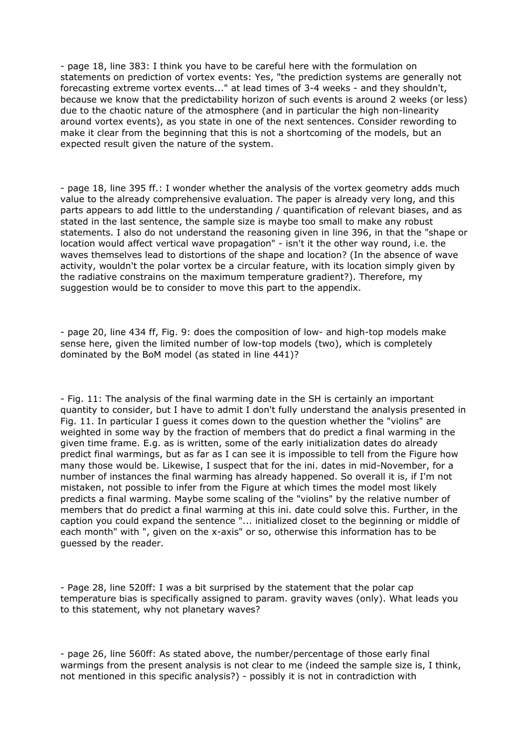- page 18, line 383: I think you have to be careful here with the formulation on statements on prediction of vortex events: Yes, "the prediction systems are generally not forecasting extreme vortex events..." at lead times of 3-4 weeks - and they shouldn't, because we know that the predictability horizon of such events is around 2 weeks (or less) due to the chaotic nature of the atmosphere (and in particular the high non-linearity around vortex events), as you state in one of the next sentences. Consider rewording to make it clear from the beginning that this is not a shortcoming of the models, but an expected result given the nature of the system.

- page 18, line 395 ff.: I wonder whether the analysis of the vortex geometry adds much value to the already comprehensive evaluation. The paper is already very long, and this parts appears to add little to the understanding / quantification of relevant biases, and as stated in the last sentence, the sample size is maybe too small to make any robust statements. I also do not understand the reasoning given in line 396, in that the "shape or location would affect vertical wave propagation" - isn't it the other way round, i.e. the waves themselves lead to distortions of the shape and location? (In the absence of wave activity, wouldn't the polar vortex be a circular feature, with its location simply given by the radiative constrains on the maximum temperature gradient?). Therefore, my suggestion would be to consider to move this part to the appendix.

- page 20, line 434 ff, Fig. 9: does the composition of low- and high-top models make sense here, given the limited number of low-top models (two), which is completely dominated by the BoM model (as stated in line 441)?

- Fig. 11: The analysis of the final warming date in the SH is certainly an important quantity to consider, but I have to admit I don't fully understand the analysis presented in Fig. 11. In particular I guess it comes down to the question whether the "violins" are weighted in some way by the fraction of members that do predict a final warming in the given time frame. E.g. as is written, some of the early initialization dates do already predict final warmings, but as far as I can see it is impossible to tell from the Figure how many those would be. Likewise, I suspect that for the ini. dates in mid-November, for a number of instances the final warming has already happened. So overall it is, if I'm not mistaken, not possible to infer from the Figure at which times the model most likely predicts a final warming. Maybe some scaling of the "violins" by the relative number of members that do predict a final warming at this ini. date could solve this. Further, in the caption you could expand the sentence "... initialized closet to the beginning or middle of each month" with ", given on the x-axis" or so, otherwise this information has to be guessed by the reader.

- Page 28, line 520ff: I was a bit surprised by the statement that the polar cap temperature bias is specifically assigned to param. gravity waves (only). What leads you to this statement, why not planetary waves?

- page 26, line 560ff: As stated above, the number/percentage of those early final warmings from the present analysis is not clear to me (indeed the sample size is, I think, not mentioned in this specific analysis?) - possibly it is not in contradiction with